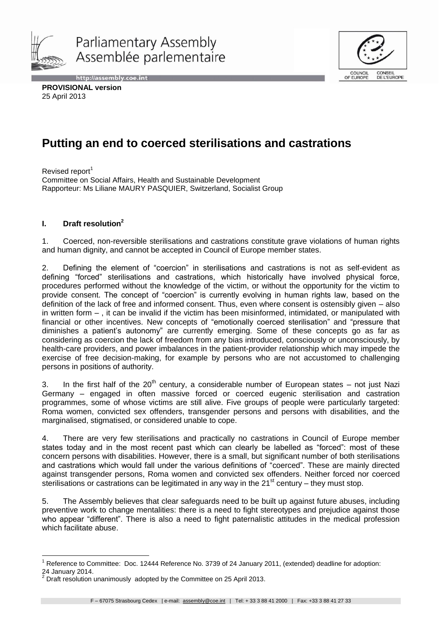



http://assembly.coe.int

**PROVISIONAL version** 25 April 2013

# **Putting an end to coerced sterilisations and castrations**

Revised report<sup>1</sup> Committee on Social Affairs, Health and Sustainable Development Rapporteur: Ms Liliane MAURY PASQUIER, Switzerland, Socialist Group

## **I. Draft resolution<sup>2</sup>**

1. Coerced, non-reversible sterilisations and castrations constitute grave violations of human rights and human dignity, and cannot be accepted in Council of Europe member states.

2. Defining the element of "coercion" in sterilisations and castrations is not as self-evident as defining "forced" sterilisations and castrations, which historically have involved physical force, procedures performed without the knowledge of the victim, or without the opportunity for the victim to provide consent. The concept of "coercion" is currently evolving in human rights law, based on the definition of the lack of free and informed consent. Thus, even where consent is ostensibly given – also in written form – , it can be invalid if the victim has been misinformed, intimidated, or manipulated with financial or other incentives. New concepts of "emotionally coerced sterilisation" and "pressure that diminishes a patient's autonomy" are currently emerging. Some of these concepts go as far as considering as coercion the lack of freedom from any bias introduced, consciously or unconsciously, by health-care providers, and power imbalances in the patient-provider relationship which may impede the exercise of free decision-making, for example by persons who are not accustomed to challenging persons in positions of authority.

3. In the first half of the 20<sup>th</sup> century, a considerable number of European states – not just Nazi Germany – engaged in often massive forced or coerced eugenic sterilisation and castration programmes, some of whose victims are still alive. Five groups of people were particularly targeted: Roma women, convicted sex offenders, transgender persons and persons with disabilities, and the marginalised, stigmatised, or considered unable to cope.

4. There are very few sterilisations and practically no castrations in Council of Europe member states today and in the most recent past which can clearly be labelled as "forced": most of these concern persons with disabilities. However, there is a small, but significant number of both sterilisations and castrations which would fall under the various definitions of "coerced". These are mainly directed against transgender persons, Roma women and convicted sex offenders. Neither forced nor coerced sterilisations or castrations can be legitimated in any way in the  $21^{st}$  century – they must stop.

5. The Assembly believes that clear safeguards need to be built up against future abuses, including preventive work to change mentalities: there is a need to fight stereotypes and prejudice against those who appear "different". There is also a need to fight paternalistic attitudes in the medical profession which facilitate abuse.

<sup>&</sup>lt;u>.</u> Reference to Committee: Doc. 12444 Reference No. 3739 of 24 January 2011, (extended) deadline for adoption: 24 January 2014.

<sup>&</sup>lt;sup>2</sup> Draft resolution unanimously adopted by the Committee on 25 April 2013.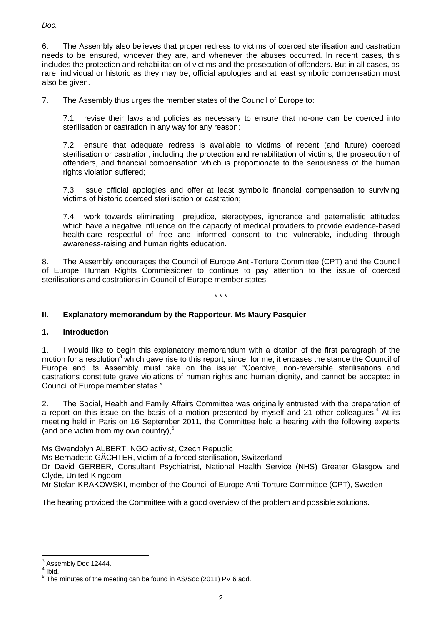6. The Assembly also believes that proper redress to victims of coerced sterilisation and castration needs to be ensured, whoever they are, and whenever the abuses occurred. In recent cases, this includes the protection and rehabilitation of victims and the prosecution of offenders. But in all cases, as rare, individual or historic as they may be, official apologies and at least symbolic compensation must also be given.

7. The Assembly thus urges the member states of the Council of Europe to:

7.1. revise their laws and policies as necessary to ensure that no-one can be coerced into sterilisation or castration in any way for any reason;

7.2. ensure that adequate redress is available to victims of recent (and future) coerced sterilisation or castration, including the protection and rehabilitation of victims, the prosecution of offenders, and financial compensation which is proportionate to the seriousness of the human rights violation suffered;

7.3. issue official apologies and offer at least symbolic financial compensation to surviving victims of historic coerced sterilisation or castration;

7.4. work towards eliminating prejudice, stereotypes, ignorance and paternalistic attitudes which have a negative influence on the capacity of medical providers to provide evidence-based health-care respectful of free and informed consent to the vulnerable, including through awareness-raising and human rights education.

8. The Assembly encourages the Council of Europe Anti-Torture Committee (CPT) and the Council of Europe Human Rights Commissioner to continue to pay attention to the issue of coerced sterilisations and castrations in Council of Europe member states.

\* \* \*

# **II. Explanatory memorandum by the Rapporteur, Ms Maury Pasquier**

## **1. Introduction**

1. I would like to begin this explanatory memorandum with a citation of the first paragraph of the motion for a resolution<sup>3</sup> which gave rise to this report, since, for me, it encases the stance the Council of Europe and its Assembly must take on the issue: "Coercive, non-reversible sterilisations and castrations constitute grave violations of human rights and human dignity, and cannot be accepted in Council of Europe member states."

2. The Social, Health and Family Affairs Committee was originally entrusted with the preparation of a report on this issue on the basis of a motion presented by myself and 21 other colleagues.<sup>4</sup> At its meeting held in Paris on 16 September 2011, the Committee held a hearing with the following experts (and one victim from my own country), 5

Ms Gwendolyn ALBERT, NGO activist, Czech Republic

Ms Bernadette GÄCHTER, victim of a forced sterilisation, Switzerland

Dr David GERBER, Consultant Psychiatrist, National Health Service (NHS) Greater Glasgow and Clyde, United Kingdom

Mr Stefan KRAKOWSKI, member of the Council of Europe Anti-Torture Committee (CPT), Sweden

The hearing provided the Committee with a good overview of the problem and possible solutions.

 3 Assembly Doc.12444.

 $<sup>4</sup>$  Ibid.</sup>

 $5$  The minutes of the meeting can be found in AS/Soc (2011) PV 6 add.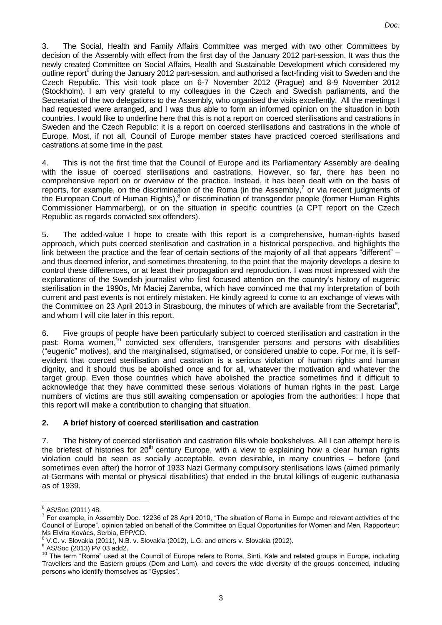3. The Social, Health and Family Affairs Committee was merged with two other Committees by decision of the Assembly with effect from the first day of the January 2012 part-session. It was thus the newly created Committee on Social Affairs, Health and Sustainable Development which considered my outline report<sup>6</sup> during the January 2012 part-session, and authorised a fact-finding visit to Sweden and the Czech Republic. This visit took place on 6-7 November 2012 (Prague) and 8-9 November 2012 (Stockholm). I am very grateful to my colleagues in the Czech and Swedish parliaments, and the Secretariat of the two delegations to the Assembly, who organised the visits excellently. All the meetings I had requested were arranged, and I was thus able to form an informed opinion on the situation in both countries. I would like to underline here that this is not a report on coerced sterilisations and castrations in Sweden and the Czech Republic: it is a report on coerced sterilisations and castrations in the whole of Europe. Most, if not all, Council of Europe member states have practiced coerced sterilisations and castrations at some time in the past.

4. This is not the first time that the Council of Europe and its Parliamentary Assembly are dealing with the issue of coerced sterilisations and castrations. However, so far, there has been no comprehensive report on or overview of the practice. Instead, it has been dealt with on the basis of reports, for example, on the discrimination of the Roma (in the Assembly, $^7$  or via recent judgments of the European Court of Human Rights),<sup>8</sup> or discrimination of transgender people (former Human Rights Commissioner Hammarberg), or on the situation in specific countries (a CPT report on the Czech Republic as regards convicted sex offenders).

5. The added-value I hope to create with this report is a comprehensive, human-rights based approach, which puts coerced sterilisation and castration in a historical perspective, and highlights the link between the practice and the fear of certain sections of the majority of all that appears "different" – and thus deemed inferior, and sometimes threatening, to the point that the majority develops a desire to control these differences, or at least their propagation and reproduction. I was most impressed with the explanations of the Swedish journalist who first focused attention on the country's history of eugenic sterilisation in the 1990s, Mr Maciej Zaremba, which have convinced me that my interpretation of both current and past events is not entirely mistaken. He kindly agreed to come to an exchange of views with the Committee on 23 April 2013 in Strasbourg, the minutes of which are available from the Secretariat<sup>9</sup>, and whom I will cite later in this report.

6. Five groups of people have been particularly subject to coerced sterilisation and castration in the past: Roma women,<sup>10</sup> convicted sex offenders, transgender persons and persons with disabilities ("eugenic" motives), and the marginalised, stigmatised, or considered unable to cope. For me, it is selfevident that coerced sterilisation and castration is a serious violation of human rights and human dignity, and it should thus be abolished once and for all, whatever the motivation and whatever the target group. Even those countries which have abolished the practice sometimes find it difficult to acknowledge that they have committed these serious violations of human rights in the past. Large numbers of victims are thus still awaiting compensation or apologies from the authorities: I hope that this report will make a contribution to changing that situation.

## **2. A brief history of coerced sterilisation and castration**

7. The history of coerced sterilisation and castration fills whole bookshelves. All I can attempt here is the briefest of histories for  $20<sup>th</sup>$  century Europe, with a view to explaining how a clear human rights violation could be seen as socially acceptable, even desirable, in many countries – before (and sometimes even after) the horror of 1933 Nazi Germany compulsory sterilisations laws (aimed primarily at Germans with mental or physical disabilities) that ended in the brutal killings of eugenic euthanasia as of 1939.

 6 AS/Soc (2011) 48.

 $<sup>7</sup>$  For example, in Assembly Doc. 12236 of 28 April 2010, "The situation of Roma in Europe and relevant activities of the</sup> Council of Europe", opinion tabled on behalf of the Committee on Equal Opportunities for Women and Men, Rapporteur: Ms Elvira Kovács, Serbia, EPP/CD.

 $8$  V.C. v. Slovakia (2011), N.B. v. Slovakia (2012), L.G. and others v. Slovakia (2012).

<sup>&</sup>lt;sup>9</sup> AS/Soc (2013) PV 03 add2.

 $10$  The term "Roma" used at the Council of Europe refers to Roma, Sinti, Kale and related groups in Europe, including Travellers and the Eastern groups (Dom and Lom), and covers the wide diversity of the groups concerned, including persons who identify themselves as "Gypsies".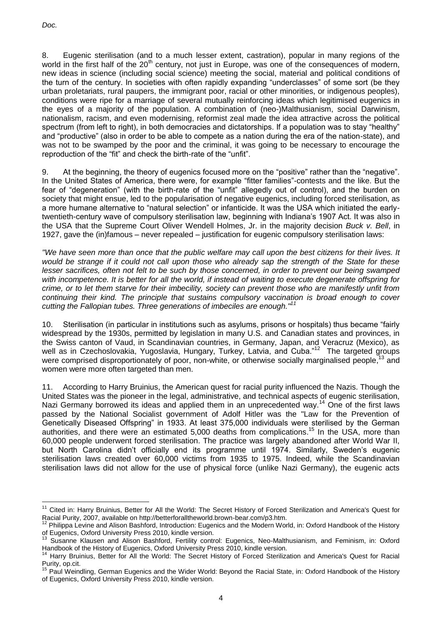<u>.</u>

8. Eugenic sterilisation (and to a much lesser extent, castration), popular in many regions of the world in the first half of the 20<sup>th</sup> century, not just in Europe, was one of the consequences of modern, new ideas in science (including social science) meeting the social, material and political conditions of the turn of the century. In societies with often rapidly expanding "underclasses" of some sort (be they urban proletariats, rural paupers, the immigrant poor, racial or other minorities, or indigenous peoples), conditions were ripe for a marriage of several mutually reinforcing ideas which legitimised eugenics in the eyes of a majority of the population. A combination of (neo-)Malthusianism, social Darwinism, nationalism, racism, and even modernising, reformist zeal made the idea attractive across the political spectrum (from left to right), in both democracies and dictatorships. If a population was to stay "healthy" and "productive" (also in order to be able to compete as a nation during the era of the nation-state), and was not to be swamped by the poor and the criminal, it was going to be necessary to encourage the reproduction of the "fit" and check the birth-rate of the "unfit".

9. At the beginning, the theory of eugenics focused more on the "positive" rather than the "negative". In the United States of America, there were, for example "fitter families"-contests and the like. But the fear of "degeneration" (with the birth-rate of the "unfit" allegedly out of control), and the burden on society that might ensue, led to the popularisation of negative eugenics, including forced sterilisation, as a more humane alternative to "natural selection" or infanticide. It was the USA which initiated the earlytwentieth-century wave of compulsory sterilisation law, beginning with Indiana's 1907 Act. It was also in the USA that the Supreme Court Oliver Wendell Holmes, Jr. in the majority decision *Buck v. Bell*, in 1927, gave the (in)famous – never repealed – justification for eugenic compulsory sterilisation laws:

*"We have seen more than once that the public welfare may call upon the best citizens for their lives. It would be strange if it could not call upon those who already sap the strength of the State for these lesser sacrifices, often not felt to be such by those concerned, in order to prevent our being swamped with incompetence. It is better for all the world, if instead of waiting to execute degenerate offspring for crime, or to let them starve for their imbecility, society can prevent those who are manifestly unfit from continuing their kind. The principle that sustains compulsory vaccination is broad enough to cover cutting the Fallopian tubes. Three generations of imbeciles are enough."<sup>11</sup>*

10. Sterilisation (in particular in institutions such as asylums, prisons or hospitals) thus became "fairly widespread by the 1930s, permitted by legislation in many U.S. and Canadian states and provinces, in the Swiss canton of Vaud, in Scandinavian countries, in Germany, Japan, and Veracruz (Mexico), as well as in Czechoslovakia, Yugoslavia, Hungary, Turkey, Latvia, and Cuba."<sup>12</sup> The targeted groups were comprised disproportionately of poor, non-white, or otherwise socially marginalised people,<sup>13</sup> and women were more often targeted than men.

11. According to Harry Bruinius, the American quest for racial purity influenced the Nazis. Though the United States was the pioneer in the legal, administrative, and technical aspects of eugenic sterilisation, Nazi Germany borrowed its ideas and applied them in an unprecedented way.<sup>14</sup> One of the first laws passed by the National Socialist government of Adolf Hitler was the "Law for the Prevention of Genetically Diseased Offspring" in 1933. At least 375,000 individuals were sterilised by the German authorities, and there were an estimated 5,000 deaths from complications. <sup>15</sup> In the USA, more than 60,000 people underwent forced sterilisation. The practice was largely abandoned after World War II, but North Carolina didn't officially end its programme until 1974. Similarly, Sweden's eugenic sterilisation laws created over 60,000 victims from 1935 to 1975. Indeed, while the Scandinavian sterilisation laws did not allow for the use of physical force (unlike Nazi Germany), the eugenic acts

<sup>11</sup> Cited in: [Harry Bruinius,](http://www.amazon.com/Harry-Bruinius/e/B001HCZXYS/ref=ntt_athr_dp_pel_1) Better for All the World: The Secret History of Forced Sterilization and America's Quest for Racial Purity, 2007, available on http://betterforalltheworld.brown-bear.com/p3.htm.

Philippa Levine and Alison Bashford, Introduction: Eugenics and the Modern World, in: Oxford Handbook of the History of Eugenics, Oxford University Press 2010, kindle version.

<sup>&</sup>lt;sup>13</sup> Susanne Klausen and Alison Bashford, Fertility control: Eugenics, Neo-Malthusianism, and Feminism, in: Oxford Handbook of the History of Eugenics, Oxford University Press 2010, kindle version.

<sup>14</sup> [Harry Bruinius,](http://www.amazon.com/Harry-Bruinius/e/B001HCZXYS/ref=ntt_athr_dp_pel_1) Better for All the World: The Secret History of Forced Sterilization and America's Quest for Racial Purity, op.cit.<br><sup>15</sup> Paul Weing

<sup>15</sup> Paul Weindling, German Eugenics and the Wider World: Beyond the Racial State, in: Oxford Handbook of the History of Eugenics, Oxford University Press 2010, kindle version.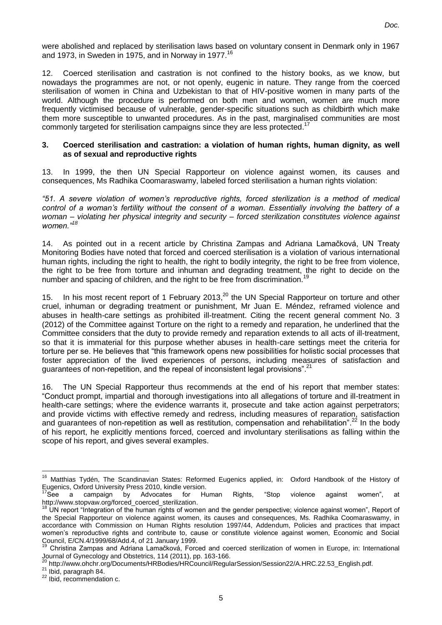were abolished and replaced by sterilisation laws based on voluntary consent in Denmark only in 1967 and 1973, in Sweden in 1975, and in Norway in 1977.<sup>16</sup>

12. Coerced sterilisation and castration is not confined to the history books, as we know, but nowadays the programmes are not, or not openly, eugenic in nature. They range from the coerced sterilisation of women in China and Uzbekistan to that of HIV-positive women in many parts of the world. Although the procedure is performed on both men and women, women are much more frequently victimised because of vulnerable, gender-specific situations such as childbirth which make them more susceptible to unwanted procedures. As in the past, marginalised communities are most commonly targeted for sterilisation campaigns since they are less protected.<sup>17</sup>

#### **3. Coerced sterilisation and castration: a violation of human rights, human dignity, as well as of sexual and reproductive rights**

13. In 1999, the then UN Special Rapporteur on violence against women, its causes and consequences, Ms Radhika Coomaraswamy, labeled forced sterilisation a human rights violation:

*"51. A severe violation of women's reproductive rights, forced sterilization is a method of medical control of a woman's fertility without the consent of a woman. Essentially involving the battery of a woman – violating her physical integrity and security – forced sterilization constitutes violence against women."<sup>18</sup>*

14. As pointed out in a recent article by Christina Zampas and Adriana Lamačková, UN Treaty Monitoring Bodies have noted that forced and coerced sterilisation is a violation of various international human rights, including the right to health, the right to bodily integrity, the right to be free from violence, the right to be free from torture and inhuman and degrading treatment, the right to decide on the number and spacing of children, and the right to be free from discrimination.<sup>19</sup>

15. In his most recent report of 1 February 2013, $^{20}$  the UN Special Rapporteur on torture and other cruel, inhuman or degrading treatment or punishment, Mr Juan E. Méndez, reframed violence and abuses in health-care settings as prohibited ill-treatment. Citing the recent general comment No. 3 (2012) of the Committee against Torture on the right to a remedy and reparation, he underlined that the Committee considers that the duty to provide remedy and reparation extends to all acts of ill-treatment, so that it is immaterial for this purpose whether abuses in health-care settings meet the criteria for torture per se. He believes that "this framework opens new possibilities for holistic social processes that foster appreciation of the lived experiences of persons, including measures of satisfaction and guarantees of non-repetition, and the repeal of inconsistent legal provisions".<sup>21</sup>

16. The UN Special Rapporteur thus recommends at the end of his report that member states: "Conduct prompt, impartial and thorough investigations into all allegations of torture and ill-treatment in health-care settings; where the evidence warrants it, prosecute and take action against perpetrators; and provide victims with effective remedy and redress, including measures of reparation, satisfaction and guarantees of non-repetition as well as restitution, compensation and rehabilitation".<sup>22</sup> In the body of his report, he explicitly mentions forced, coerced and involuntary sterilisations as falling within the scope of his report, and gives several examples.

<sup>&</sup>lt;u>.</u> <sup>16</sup> Matthias Tydén, The Scandinavian States: Reformed Eugenics applied, in: Oxford Handbook of the History of

Eugenics, Oxford University Press 2010, kindle version.<br><sup>17</sup>See a campaign by Advocates for Hu a campaign by Advocates for Human Rights, "Stop violence against women", at [http://www.stopvaw.org/forced\\_coerced\\_sterilization.](http://www.stopvaw.org/forced_coerced_sterilization)

<sup>&</sup>lt;sup>18</sup> UN report "Integration of the human rights of women and the gender perspective; violence against women", Report of the Special Rapporteur on violence against women, its causes and consequences, Ms. Radhika Coomaraswamy, in accordance with Commission on Human Rights resolution 1997/44, Addendum, Policies and practices that impact women's reproductive rights and contribute to, cause or constitute violence against women, Economic and Social Council, E/CN.4/1999/68/Add.4, of 21 January 1999.

<sup>19</sup> Christina Zampas and Adriana Lamačková, Forced and coerced sterilization of women in Europe, in: International Journal of Gynecology and Obstetrics, 114 (2011), pp. 163-166.

<sup>&</sup>lt;sup>20</sup> http://www.ohchr.org/Documents/HRBodies/HRCouncil/RegularSession/Session22/A.HRC.22.53\_English.pdf.

 $^{21}$  Ibid, paragraph 84.

<sup>&</sup>lt;sup>22</sup> Ibid, recommendation c.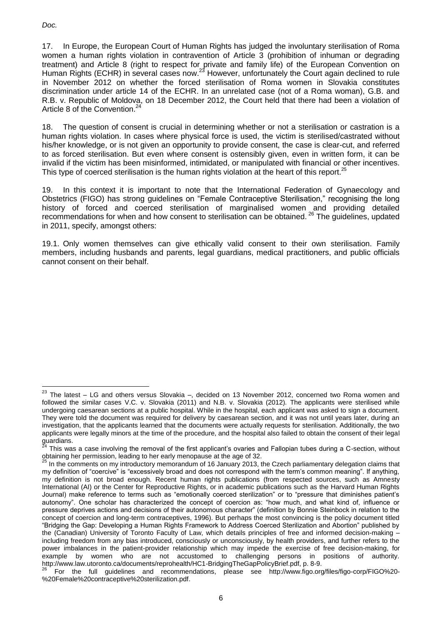17. In Europe, the European Court of Human Rights has judged the involuntary sterilisation of Roma women a human rights violation in contravention of Article 3 (prohibition of inhuman or degrading treatment) and Article 8 (right to respect for private and family life) of the European Convention on Human Rights (ECHR) in several cases now.<sup>23</sup> However, unfortunately the Court again declined to rule in November 2012 on whether the forced sterilisation of Roma women in Slovakia constitutes discrimination under article 14 of the ECHR. In an unrelated case (not of a Roma woman), G.B. and R.B. v. Republic of Moldova, on 18 December 2012, the Court held that there had been a violation of Article 8 of the Convention.<sup>2</sup>

18. The question of consent is crucial in determining whether or not a sterilisation or castration is a human rights violation. In cases where physical force is used, the victim is sterilised/castrated without his/her knowledge, or is not given an opportunity to provide consent, the case is clear-cut, and referred to as forced sterilisation. But even where consent is ostensibly given, even in written form, it can be invalid if the victim has been misinformed, intimidated, or manipulated with financial or other incentives. This type of coerced sterilisation is the human rights violation at the heart of this report.<sup>25</sup>

19. In this context it is important to note that the International Federation of Gynaecology and Obstetrics (FIGO) has strong guidelines on "Female Contraceptive Sterilisation," recognising the long history of forced and coerced sterilisation of marginalised women and providing detailed recommendations for when and how consent to sterilisation can be obtained. <sup>26</sup> The guidelines, updated in 2011, specify, amongst others:

19.1. Only women themselves can give ethically valid consent to their own sterilisation. Family members, including husbands and parents, legal guardians, medical practitioners, and public officials cannot consent on their behalf.

<sup>&</sup>lt;u>.</u>  $^{23}$  The latest – LG and others versus Slovakia –, decided on 13 November 2012, concerned two Roma women and followed the similar cases V.C. v. Slovakia (2011) and N.B. v. Slovakia (2012). The applicants were sterilised while undergoing caesarean sections at a public hospital. While in the hospital, each applicant was asked to sign a document. They were told the document was required for delivery by caesarean section, and it was not until years later, during an investigation, that the applicants learned that the documents were actually requests for sterilisation. Additionally, the two applicants were legally minors at the time of the procedure, and the hospital also failed to obtain the consent of their legal guardians.

<sup>24</sup> This was a case involving the removal of the first applicant's ovaries and Fallopian tubes during a C-section, without obtaining her permission, leading to her early menopause at the age of 32.

 $25$  In the comments on my introductory memorandum of 16 January 2013, the Czech parliamentary delegation claims that my definition of "coercive" is "excessively broad and does not correspond with the term's common meaning". If anything, my definition is not broad enough. Recent human rights publications (from respected sources, such as Amnesty International (AI) or the Center for Reproductive Rights, or in academic publications such as the Harvard Human Rights Journal) make reference to terms such as "emotionally coerced sterilization" or to "pressure that diminishes patient's autonomy". One scholar has characterized the concept of coercion as: "how much, and what kind of, influence or pressure deprives actions and decisions of their autonomous character" (definition by Bonnie Steinbock in relation to the concept of coercion and long-term contraceptives, 1996). But perhaps the most convincing is the policy document titled "Bridging the Gap: Developing a Human Rights Framework to Address Coerced Sterilization and Abortion" published by the (Canadian) University of Toronto Faculty of Law, which details principles of free and informed decision-making – including freedom from any bias introduced, consciously or unconsciously, by health providers, and further refers to the power imbalances in the patient-provider relationship which may impede the exercise of free decision-making, for example by women who are not accustomed to challenging persons in positions of authority. http://www.law.utoronto.ca/documents/reprohealth/HC1-BridgingTheGapPolicyBrief.pdf, p. 8-9.

<sup>26</sup> For the full guidelines and recommendations, please see [http://www.figo.org/files/figo-corp/FIGO%20-](http://www.figo.org/files/figo-corp/FIGO%20-%20Female%20contraceptive%20sterilization.pdf) [%20Female%20contraceptive%20sterilization.pdf.](http://www.figo.org/files/figo-corp/FIGO%20-%20Female%20contraceptive%20sterilization.pdf)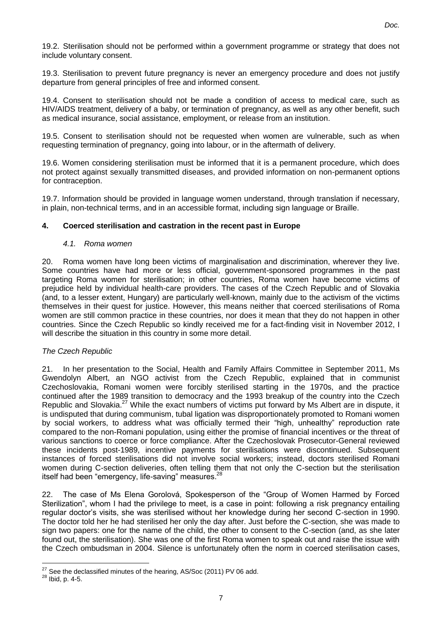19.2. Sterilisation should not be performed within a government programme or strategy that does not include voluntary consent.

19.3. Sterilisation to prevent future pregnancy is never an emergency procedure and does not justify departure from general principles of free and informed consent.

19.4. Consent to sterilisation should not be made a condition of access to medical care, such as HIV/AIDS treatment, delivery of a baby, or termination of pregnancy, as well as any other benefit, such as medical insurance, social assistance, employment, or release from an institution.

19.5. Consent to sterilisation should not be requested when women are vulnerable, such as when requesting termination of pregnancy, going into labour, or in the aftermath of delivery.

19.6. Women considering sterilisation must be informed that it is a permanent procedure, which does not protect against sexually transmitted diseases, and provided information on non-permanent options for contraception.

19.7. Information should be provided in language women understand, through translation if necessary, in plain, non-technical terms, and in an accessible format, including sign language or Braille.

### **4. Coerced sterilisation and castration in the recent past in Europe**

### *4.1. Roma women*

20. Roma women have long been victims of marginalisation and discrimination, wherever they live. Some countries have had more or less official, government-sponsored programmes in the past targeting Roma women for sterilisation; in other countries, Roma women have become victims of prejudice held by individual health-care providers. The cases of the Czech Republic and of Slovakia (and, to a lesser extent, Hungary) are particularly well-known, mainly due to the activism of the victims themselves in their quest for justice. However, this means neither that coerced sterilisations of Roma women are still common practice in these countries, nor does it mean that they do not happen in other countries. Since the Czech Republic so kindly received me for a fact-finding visit in November 2012, I will describe the situation in this country in some more detail.

## *The Czech Republic*

21. In her presentation to the Social, Health and Family Affairs Committee in September 2011, Ms Gwendolyn Albert, an NGO activist from the Czech Republic, explained that in communist Czechoslovakia, Romani women were forcibly sterilised starting in the 1970s, and the practice continued after the 1989 transition to democracy and the 1993 breakup of the country into the Czech Republic and Slovakia.<sup>27</sup> While the exact numbers of victims put forward by Ms Albert are in dispute, it is undisputed that during communism, tubal ligation was disproportionately promoted to Romani women by social workers, to address what was officially termed their "high, unhealthy" reproduction rate compared to the non-Romani population, using either the promise of financial incentives or the threat of various sanctions to coerce or force compliance. After the Czechoslovak Prosecutor-General reviewed these incidents post-1989, incentive payments for sterilisations were discontinued. Subsequent instances of forced sterilisations did not involve social workers; instead, doctors sterilised Romani women during C-section deliveries, often telling them that not only the C-section but the sterilisation itself had been "emergency, life-saving" measures.<sup>28</sup>

22. The case of Ms Elena Gorolová, Spokesperson of the "Group of Women Harmed by Forced Sterilization", whom I had the privilege to meet, is a case in point: following a risk pregnancy entailing regular doctor's visits, she was sterilised without her knowledge during her second C-section in 1990. The doctor told her he had sterilised her only the day after. Just before the C-section, she was made to sign two papers: one for the name of the child, the other to consent to the C-section (and, as she later found out, the sterilisation). She was one of the first Roma women to speak out and raise the issue with the Czech ombudsman in 2004. Silence is unfortunately often the norm in coerced sterilisation cases,

<u>.</u>

 $27$  See the declassified minutes of the hearing, AS/Soc (2011) PV 06 add.

 $28$  Ibid, p. 4-5.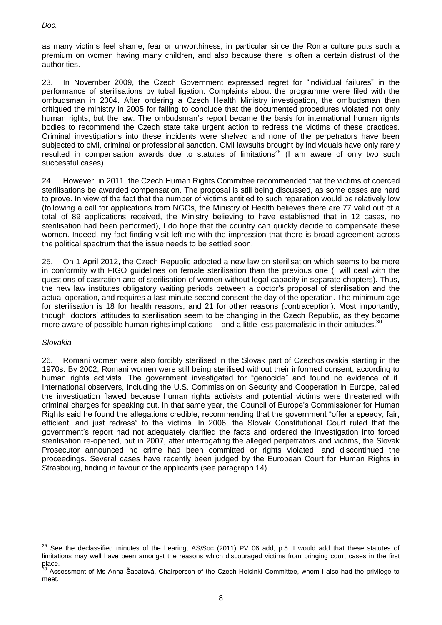as many victims feel shame, fear or unworthiness, in particular since the Roma culture puts such a premium on women having many children, and also because there is often a certain distrust of the authorities.

23. In November 2009, the Czech Government expressed regret for "individual failures" in the performance of sterilisations by tubal ligation. Complaints about the programme were filed with the ombudsman in 2004. After ordering a Czech Health Ministry investigation, the ombudsman then critiqued the ministry in 2005 for failing to conclude that the documented procedures violated not only human rights, but the law. The ombudsman's report became the basis for international human rights bodies to recommend the Czech state take urgent action to redress the victims of these practices. Criminal investigations into these incidents were shelved and none of the perpetrators have been subjected to civil, criminal or professional sanction. Civil lawsuits brought by individuals have only rarely resulted in compensation awards due to statutes of limitations<sup>29</sup> (I am aware of only two such successful cases).

24. However, in 2011, the Czech Human Rights Committee recommended that the victims of coerced sterilisations be awarded compensation. The proposal is still being discussed, as some cases are hard to prove. In view of the fact that the number of victims entitled to such reparation would be relatively low (following a call for applications from NGOs, the Ministry of Health believes there are 77 valid out of a total of 89 applications received, the Ministry believing to have established that in 12 cases, no sterilisation had been performed), I do hope that the country can quickly decide to compensate these women. Indeed, my fact-finding visit left me with the impression that there is broad agreement across the political spectrum that the issue needs to be settled soon.

25. On 1 April 2012, the Czech Republic adopted a new law on sterilisation which seems to be more in conformity with FIGO guidelines on female sterilisation than the previous one (I will deal with the questions of castration and of sterilisation of women without legal capacity in separate chapters). Thus, the new law institutes obligatory waiting periods between a doctor's proposal of sterilisation and the actual operation, and requires a last-minute second consent the day of the operation. The minimum age for sterilisation is 18 for health reasons, and 21 for other reasons (contraception). Most importantly, though, doctors' attitudes to sterilisation seem to be changing in the Czech Republic, as they become more aware of possible human rights implications – and a little less paternalistic in their attitudes.<sup>30</sup>

## *Slovakia*

<u>.</u>

26. Romani women were also forcibly sterilised in the Slovak part of Czechoslovakia starting in the 1970s. By 2002, Romani women were still being sterilised without their informed consent, according to human rights activists. The government investigated for "genocide" and found no evidence of it. International observers, including the U.S. Commission on Security and Cooperation in Europe, called the investigation flawed because human rights activists and potential victims were threatened with criminal charges for speaking out. In that same year, the Council of Europe's Commissioner for Human Rights said he found the allegations credible, recommending that the government "offer a speedy, fair, efficient, and just redress" to the victims. In 2006, the Slovak Constitutional Court ruled that the government's report had not adequately clarified the facts and ordered the investigation into forced sterilisation re-opened, but in 2007, after interrogating the alleged perpetrators and victims, the Slovak Prosecutor announced no crime had been committed or rights violated, and discontinued the proceedings. Several cases have recently been judged by the European Court for Human Rights in Strasbourg, finding in favour of the applicants (see paragraph 14).

 $^{29}$  See the declassified minutes of the hearing, AS/Soc (2011) PV 06 add, p.5. I would add that these statutes of limitations may well have been amongst the reasons which discouraged victims from bringing court cases in the first place.

Assessment of Ms Anna Šabatová, Chairperson of the Czech Helsinki Committee, whom I also had the privilege to meet.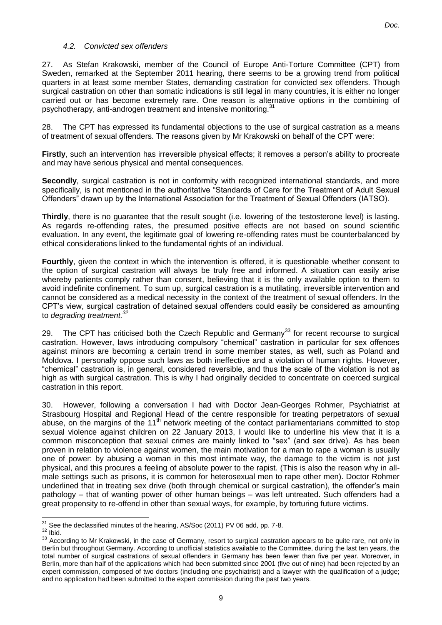#### *4.2. Convicted sex offenders*

27. As Stefan Krakowski, member of the Council of Europe Anti-Torture Committee (CPT) from Sweden, remarked at the September 2011 hearing, there seems to be a growing trend from political quarters in at least some member States, demanding castration for convicted sex offenders. Though surgical castration on other than somatic indications is still legal in many countries, it is either no longer carried out or has become extremely rare. One reason is alternative options in the combining of psychotherapy, anti-androgen treatment and intensive monitoring.<sup>31</sup>

28. The CPT has expressed its fundamental objections to the use of surgical castration as a means of treatment of sexual offenders. The reasons given by Mr Krakowski on behalf of the CPT were:

**Firstly**, such an intervention has irreversible physical effects; it removes a person's ability to procreate and may have serious physical and mental consequences.

**Secondly**, surgical castration is not in conformity with recognized international standards, and more specifically, is not mentioned in the authoritative "Standards of Care for the Treatment of Adult Sexual Offenders" drawn up by the International Association for the Treatment of Sexual Offenders (IATSO).

**Thirdly**, there is no guarantee that the result sought (i.e. lowering of the testosterone level) is lasting. As regards re-offending rates, the presumed positive effects are not based on sound scientific evaluation. In any event, the legitimate goal of lowering re-offending rates must be counterbalanced by ethical considerations linked to the fundamental rights of an individual.

**Fourthly**, given the context in which the intervention is offered, it is questionable whether consent to the option of surgical castration will always be truly free and informed. A situation can easily arise whereby patients comply rather than consent, believing that it is the only available option to them to avoid indefinite confinement. To sum up, surgical castration is a mutilating, irreversible intervention and cannot be considered as a medical necessity in the context of the treatment of sexual offenders. In the CPT's view, surgical castration of detained sexual offenders could easily be considered as amounting to *degrading treatment. 32*

29. The CPT has criticised both the Czech Republic and Germany<sup>33</sup> for recent recourse to surgical castration. However, laws introducing compulsory "chemical" castration in particular for sex offences against minors are becoming a certain trend in some member states, as well, such as Poland and Moldova. I personally oppose such laws as both ineffective and a violation of human rights. However, "chemical" castration is, in general, considered reversible, and thus the scale of the violation is not as high as with surgical castration. This is why I had originally decided to concentrate on coerced surgical castration in this report.

30. However, following a conversation I had with Doctor Jean-Georges Rohmer, Psychiatrist at Strasbourg Hospital and Regional Head of the centre responsible for treating perpetrators of sexual abuse, on the margins of the 11<sup>th</sup> network meeting of the contact parliamentarians committed to stop sexual violence against children on 22 January 2013, I would like to underline his view that it is a common misconception that sexual crimes are mainly linked to "sex" (and sex drive). As has been proven in relation to violence against women, the main motivation for a man to rape a woman is usually one of power: by abusing a woman in this most intimate way, the damage to the victim is not just physical, and this procures a feeling of absolute power to the rapist. (This is also the reason why in allmale settings such as prisons, it is common for heterosexual men to rape other men). Doctor Rohmer underlined that in treating sex drive (both through chemical or surgical castration), the offender's main pathology – that of wanting power of other human beings – was left untreated. Such offenders had a great propensity to re-offend in other than sexual ways, for example, by torturing future victims.

<sup>&</sup>lt;u>.</u>  $31$  See the declassified minutes of the hearing, AS/Soc (2011) PV 06 add, pp. 7-8.

 $32$  Ibid.

<sup>33</sup> According to Mr Krakowski, in the case of Germany, resort to surgical castration appears to be quite rare, not only in Berlin but throughout Germany. According to unofficial statistics available to the Committee, during the last ten years, the total number of surgical castrations of sexual offenders in Germany has been fewer than five per year. Moreover, in Berlin, more than half of the applications which had been submitted since 2001 (five out of nine) had been rejected by an expert commission, composed of two doctors (including one psychiatrist) and a lawyer with the qualification of a judge; and no application had been submitted to the expert commission during the past two years.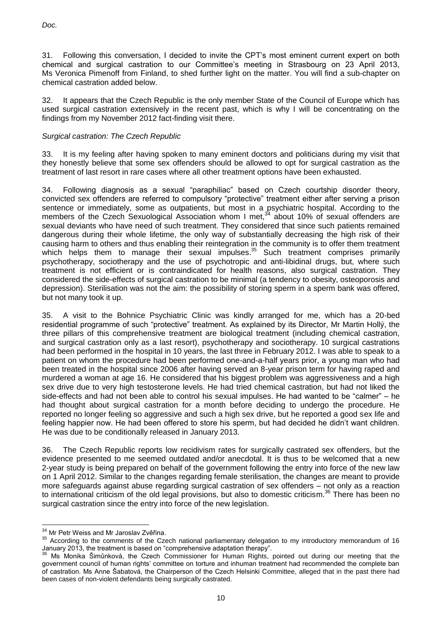31. Following this conversation, I decided to invite the CPT's most eminent current expert on both chemical and surgical castration to our Committee's meeting in Strasbourg on 23 April 2013, Ms Veronica Pimenoff from Finland, to shed further light on the matter. You will find a sub-chapter on chemical castration added below.

32. It appears that the Czech Republic is the only member State of the Council of Europe which has used surgical castration extensively in the recent past, which is why I will be concentrating on the findings from my November 2012 fact-finding visit there.

# *Surgical castration: The Czech Republic*

33. It is my feeling after having spoken to many eminent doctors and politicians during my visit that they honestly believe that some sex offenders should be allowed to opt for surgical castration as the treatment of last resort in rare cases where all other treatment options have been exhausted.

34. Following diagnosis as a sexual "paraphiliac" based on Czech courtship disorder theory, convicted sex offenders are referred to compulsory "protective" treatment either after serving a prison sentence or immediately, some as outpatients, but most in a psychiatric hospital. According to the members of the Czech Sexuological Association whom I met,<sup>34</sup> about 10% of sexual offenders are sexual deviants who have need of such treatment. They considered that since such patients remained dangerous during their whole lifetime, the only way of substantially decreasing the high risk of their causing harm to others and thus enabling their reintegration in the community is to offer them treatment which helps them to manage their sexual impulses.<sup>35</sup> Such treatment comprises primarily psychotherapy, sociotherapy and the use of psychotropic and anti-libidinal drugs, but, where such treatment is not efficient or is contraindicated for health reasons, also surgical castration. They considered the side-effects of surgical castration to be minimal (a tendency to obesity, osteoporosis and depression). Sterilisation was not the aim: the possibility of storing sperm in a sperm bank was offered, but not many took it up.

35. A visit to the Bohnice Psychiatric Clinic was kindly arranged for me, which has a 20-bed residential programme of such "protective" treatment. As explained by its Director, Mr Martin Hollý, the three pillars of this comprehensive treatment are biological treatment (including chemical castration, and surgical castration only as a last resort), psychotherapy and sociotherapy. 10 surgical castrations had been performed in the hospital in 10 years, the last three in February 2012. I was able to speak to a patient on whom the procedure had been performed one-and-a-half years prior, a young man who had been treated in the hospital since 2006 after having served an 8-year prison term for having raped and murdered a woman at age 16. He considered that his biggest problem was aggressiveness and a high sex drive due to very high testosterone levels. He had tried chemical castration, but had not liked the side-effects and had not been able to control his sexual impulses. He had wanted to be "calmer" – he had thought about surgical castration for a month before deciding to undergo the procedure. He reported no longer feeling so aggressive and such a high sex drive, but he reported a good sex life and feeling happier now. He had been offered to store his sperm, but had decided he didn't want children. He was due to be conditionally released in January 2013.

36. The Czech Republic reports low recidivism rates for surgically castrated sex offenders, but the evidence presented to me seemed outdated and/or anecdotal. It is thus to be welcomed that a new 2-year study is being prepared on behalf of the government following the entry into force of the new law on 1 April 2012. Similar to the changes regarding female sterilisation, the changes are meant to provide more safeguards against abuse regarding surgical castration of sex offenders – not only as a reaction to international criticism of the old legal provisions, but also to domestic criticism.<sup>36</sup> There has been no surgical castration since the entry into force of the new legislation.

<sup>&</sup>lt;u>.</u> <sup>34</sup> Mr Petr Weiss and Mr Jaroslav Zvěřina.

<sup>&</sup>lt;sup>35</sup> According to the comments of the Czech national parliamentary delegation to my introductory memorandum of 16 January 2013, the treatment is based on "comprehensive adaptation therapy".

<sup>36</sup> Ms Monika Šimǔnková, the Czech Commissioner for Human Rights, pointed out during our meeting that the government council of human rights' committee on torture and inhuman treatment had recommended the complete ban of castration. Ms Anne Šabatová, the Chairperson of the Czech Helsinki Committee, alleged that in the past there had been cases of non-violent defendants being surgically castrated.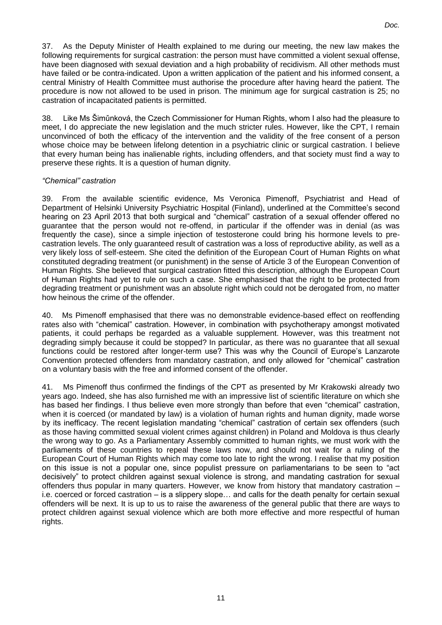38. Like Ms Šimǔnková, the Czech Commissioner for Human Rights, whom I also had the pleasure to meet, I do appreciate the new legislation and the much stricter rules. However, like the CPT, I remain unconvinced of both the efficacy of the intervention and the validity of the free consent of a person whose choice may be between lifelong detention in a psychiatric clinic or surgical castration. I believe that every human being has inalienable rights, including offenders, and that society must find a way to preserve these rights. It is a question of human dignity.

## *"Chemical" castration*

39. From the available scientific evidence, Ms Veronica Pimenoff, Psychiatrist and Head of Department of Helsinki University Psychiatric Hospital (Finland), underlined at the Committee's second hearing on 23 April 2013 that both surgical and "chemical" castration of a sexual offender offered no guarantee that the person would not re-offend, in particular if the offender was in denial (as was frequently the case), since a simple injection of testosterone could bring his hormone levels to precastration levels. The only guaranteed result of castration was a loss of reproductive ability, as well as a very likely loss of self-esteem. She cited the definition of the European Court of Human Rights on what constituted degrading treatment (or punishment) in the sense of Article 3 of the European Convention of Human Rights. She believed that surgical castration fitted this description, although the European Court of Human Rights had yet to rule on such a case. She emphasised that the right to be protected from degrading treatment or punishment was an absolute right which could not be derogated from, no matter how heinous the crime of the offender.

40. Ms Pimenoff emphasised that there was no demonstrable evidence-based effect on reoffending rates also with "chemical" castration. However, in combination with psychotherapy amongst motivated patients, it could perhaps be regarded as a valuable supplement. However, was this treatment not degrading simply because it could be stopped? In particular, as there was no guarantee that all sexual functions could be restored after longer-term use? This was why the Council of Europe's Lanzarote Convention protected offenders from mandatory castration, and only allowed for "chemical" castration on a voluntary basis with the free and informed consent of the offender.

41. Ms Pimenoff thus confirmed the findings of the CPT as presented by Mr Krakowski already two years ago. Indeed, she has also furnished me with an impressive list of scientific literature on which she has based her findings. I thus believe even more strongly than before that even "chemical" castration, when it is coerced (or mandated by law) is a violation of human rights and human dignity, made worse by its inefficacy. The recent legislation mandating "chemical" castration of certain sex offenders (such as those having committed sexual violent crimes against children) in Poland and Moldova is thus clearly the wrong way to go. As a Parliamentary Assembly committed to human rights, we must work with the parliaments of these countries to repeal these laws now, and should not wait for a ruling of the European Court of Human Rights which may come too late to right the wrong. I realise that my position on this issue is not a popular one, since populist pressure on parliamentarians to be seen to "act decisively" to protect children against sexual violence is strong, and mandating castration for sexual offenders thus popular in many quarters. However, we know from history that mandatory castration – i.e. coerced or forced castration – is a slippery slope… and calls for the death penalty for certain sexual offenders will be next. It is up to us to raise the awareness of the general public that there are ways to protect children against sexual violence which are both more effective and more respectful of human rights.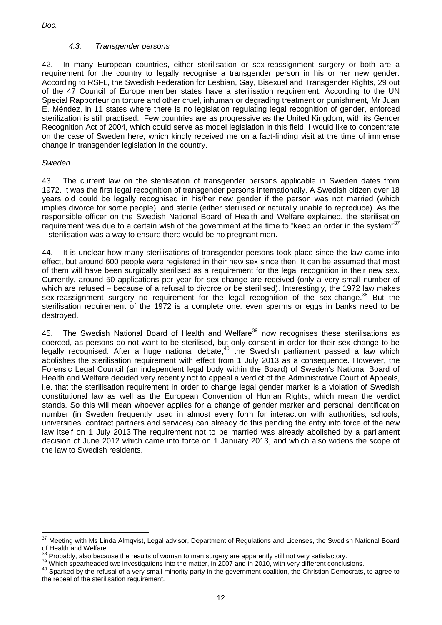#### *4.3. Transgender persons*

42. In many European countries, either sterilisation or sex-reassignment surgery or both are a requirement for the country to legally recognise a transgender person in his or her new gender. According to RSFL, the Swedish Federation for Lesbian, Gay, Bisexual and Transgender Rights, 29 out of the 47 Council of Europe member states have a sterilisation requirement. According to the UN Special Rapporteur on torture and other cruel, inhuman or degrading treatment or punishment, Mr Juan E. Méndez, in 11 states where there is no legislation regulating legal recognition of gender, enforced sterilization is still practised. Few countries are as progressive as the United Kingdom, with its Gender Recognition Act of 2004, which could serve as model legislation in this field. I would like to concentrate on the case of Sweden here, which kindly received me on a fact-finding visit at the time of immense change in transgender legislation in the country.

### *Sweden*

-

43. The current law on the sterilisation of transgender persons applicable in Sweden dates from 1972. It was the first legal recognition of transgender persons internationally. A Swedish citizen over 18 years old could be legally recognised in his/her new gender if the person was not married (which implies divorce for some people), and sterile (either sterilised or naturally unable to reproduce). As the responsible officer on the Swedish National Board of Health and Welfare explained, the sterilisation requirement was due to a certain wish of the government at the time to "keep an order in the system"<sup>37</sup> – sterilisation was a way to ensure there would be no pregnant men.

44. It is unclear how many sterilisations of transgender persons took place since the law came into effect, but around 600 people were registered in their new sex since then. It can be assumed that most of them will have been surgically sterilised as a requirement for the legal recognition in their new sex. Currently, around 50 applications per year for sex change are received (only a very small number of which are refused – because of a refusal to divorce or be sterilised). Interestingly, the 1972 law makes sex-reassignment surgery no requirement for the legal recognition of the sex-change.<sup>38</sup> But the sterilisation requirement of the 1972 is a complete one: even sperms or eggs in banks need to be destroyed.

45. The Swedish National Board of Health and Welfare<sup>39</sup> now recognises these sterilisations as coerced, as persons do not want to be sterilised, but only consent in order for their sex change to be legally recognised. After a huge national debate,<sup>40</sup> the Swedish parliament passed a law which abolishes the sterilisation requirement with effect from 1 July 2013 as a consequence. However, the Forensic Legal Council (an independent legal body within the Board) of Sweden's National Board of Health and Welfare decided very recently not to appeal a verdict of the Administrative Court of Appeals, i.e. that the sterilisation requirement in order to change legal gender marker is a violation of Swedish constitutional law as well as the European Convention of Human Rights, which mean the verdict stands. So this will mean whoever applies for a change of gender marker and personal identification number (in Sweden frequently used in almost every form for interaction with authorities, schools, universities, contract partners and services) can already do this pending the entry into force of the new law itself on 1 July 2013.The requirement not to be married was already abolished by a parliament decision of June 2012 which came into force on 1 January 2013, and which also widens the scope of the law to Swedish residents.

<sup>&</sup>lt;sup>37</sup> Meeting with Ms Linda Almqvist, Legal advisor, Department of Regulations and Licenses, the Swedish National Board of Health and Welfare.

Probably, also because the results of woman to man surgery are apparently still not very satisfactory.

<sup>&</sup>lt;sup>39</sup> Which spearheaded two investigations into the matter, in 2007 and in 2010, with very different conclusions.

<sup>&</sup>lt;sup>40</sup> Sparked by the refusal of a very small minority party in the government coalition, the Christian Democrats, to agree to the repeal of the sterilisation requirement.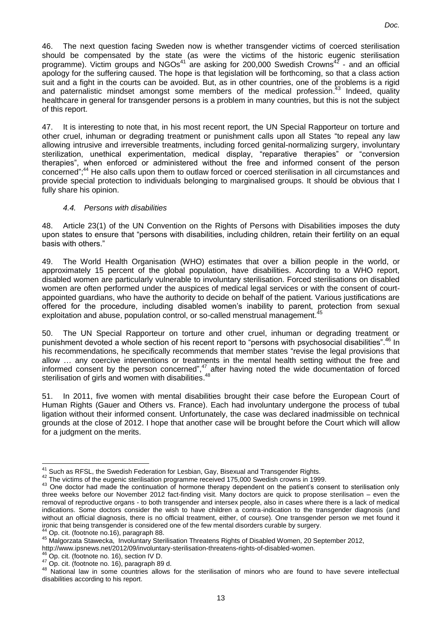46. The next question facing Sweden now is whether transgender victims of coerced sterilisation should be compensated by the state (as were the victims of the historic eugenic sterilisation programme). Victim groups and NGOs<sup>41</sup> are asking for 200,000 Swedish Crowns<sup>42</sup> - and an official apology for the suffering caused. The hope is that legislation will be forthcoming, so that a class action suit and a fight in the courts can be avoided. But, as in other countries, one of the problems is a rigid and paternalistic mindset amongst some members of the medical profession.<sup>43</sup> Indeed, quality healthcare in general for transgender persons is a problem in many countries, but this is not the subject of this report.

47. It is interesting to note that, in his most recent report, the UN Special Rapporteur on torture and other cruel, inhuman or degrading treatment or punishment calls upon all States "to repeal any law allowing intrusive and irreversible treatments, including forced genital-normalizing surgery, involuntary sterilization, unethical experimentation, medical display, "reparative therapies" or "conversion therapies", when enforced or administered without the free and informed consent of the person concerned";<sup>44</sup> He also calls upon them to outlaw forced or coerced sterilisation in all circumstances and provide special protection to individuals belonging to marginalised groups. It should be obvious that I fully share his opinion.

### *4.4. Persons with disabilities*

48. Article 23(1) of the UN Convention on the Rights of Persons with Disabilities imposes the duty upon states to ensure that "persons with disabilities, including children, retain their fertility on an equal basis with others."

49. The World Health Organisation (WHO) estimates that over a billion people in the world, or approximately 15 percent of the global population, have disabilities. According to a WHO report, disabled women are particularly vulnerable to involuntary sterilisation. Forced sterilisations on disabled women are often performed under the auspices of medical legal services or with the consent of courtappointed guardians, who have the authority to decide on behalf of the patient. Various justifications are offered for the procedure, including disabled women's inability to parent, protection from sexual exploitation and abuse, population control, or so-called menstrual management.<sup>45</sup>

50. The UN Special Rapporteur on torture and other cruel, inhuman or degrading treatment or punishment devoted a whole section of his recent report to "persons with psychosocial disabilities".<sup>46</sup> In his recommendations, he specifically recommends that member states "revise the legal provisions that allow … any coercive interventions or treatments in the mental health setting without the free and informed consent by the person concerned",<sup>47</sup> after having noted the wide documentation of forced sterilisation of girls and women with disabilities.<sup>48</sup>

51. In 2011, five women with mental disabilities brought their case before the European Court of Human Rights (Gauer and Others vs. France). Each had involuntary undergone the process of tubal ligation without their informed consent. Unfortunately, the case was declared inadmissible on technical grounds at the close of 2012. I hope that another case will be brought before the Court which will allow for a judgment on the merits.

<u>.</u>

 $41$  Such as RFSL, the Swedish Federation for Lesbian, Gay, Bisexual and Transgender Rights.

<sup>42</sup> The victims of the eugenic sterilisation programme received 175,000 Swedish crowns in 1999.

<sup>&</sup>lt;sup>43</sup> One doctor had made the continuation of hormone therapy dependent on the patient's consent to sterilisation only three weeks before our November 2012 fact-finding visit. Many doctors are quick to propose sterilisation – even the removal of reproductive organs - to both transgender and intersex people, also in cases where there is a lack of medical indications. Some doctors consider the wish to have children a contra-indication to the transgender diagnosis (and without an official diagnosis, there is no official treatment, either, of course). One transgender person we met found it ironic that being transgender is considered one of the few mental disorders curable by surgery. Op. cit. (footnote no.16), paragraph 88.

<sup>45</sup> Malgorzata Stawecka, Involuntary Sterilisation Threatens Rights of Disabled Women, 20 September 2012,

http://www.ipsnews.net/2012/09/involuntary-sterilisation-threatens-rights-of-disabled-women.

<sup>46</sup> Op. cit. (footnote no. 16), section IV D.

<sup>47</sup> Op. cit. (footnote no. 16), paragraph 89 d.

<sup>48</sup> National law in some countries allows for the sterilisation of minors who are found to have severe intellectual disabilities according to his report.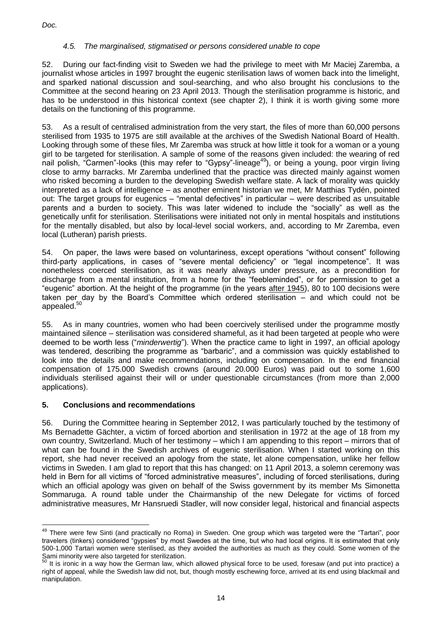# *4.5. The marginalised, stigmatised or persons considered unable to cope*

52. During our fact-finding visit to Sweden we had the privilege to meet with Mr Maciej Zaremba, a journalist whose articles in 1997 brought the eugenic sterilisation laws of women back into the limelight, and sparked national discussion and soul-searching, and who also brought his conclusions to the Committee at the second hearing on 23 April 2013. Though the sterilisation programme is historic, and has to be understood in this historical context (see chapter 2), I think it is worth giving some more details on the functioning of this programme.

53. As a result of centralised administration from the very start, the files of more than 60,000 persons sterilised from 1935 to 1975 are still available at the archives of the Swedish National Board of Health. Looking through some of these files, Mr Zaremba was struck at how little it took for a woman or a young girl to be targeted for sterilisation. A sample of some of the reasons given included: the wearing of red nail polish, "Carmen"-looks (this may refer to "Gypsy"-lineage<sup>49</sup>), or being a young, poor virgin living close to army barracks. Mr Zaremba underlined that the practice was directed mainly against women who risked becoming a burden to the developing Swedish welfare state. A lack of morality was quickly interpreted as a lack of intelligence – as another eminent historian we met, Mr Matthias Tydén, pointed out: The target groups for eugenics – "mental defectives" in particular – were described as unsuitable parents and a burden to society. This was later widened to include the "socially" as well as the genetically unfit for sterilisation. Sterilisations were initiated not only in mental hospitals and institutions for the mentally disabled, but also by local-level social workers, and, according to Mr Zaremba, even local (Lutheran) parish priests.

54. On paper, the laws were based on voluntariness, except operations "without consent" following third-party applications, in cases of "severe mental deficiency" or "legal incompetence". It was nonetheless coerced sterilisation, as it was nearly always under pressure, as a precondition for discharge from a mental institution, from a home for the "feebleminded", or for permission to get a "eugenic" abortion. At the height of the programme (in the years after 1945), 80 to 100 decisions were taken per day by the Board's Committee which ordered sterilisation – and which could not be appealed. 50

55. As in many countries, women who had been coercively sterilised under the programme mostly maintained silence – sterilisation was considered shameful, as it had been targeted at people who were deemed to be worth less ("*minderwertig*"). When the practice came to light in 1997, an official apology was tendered, describing the programme as "barbaric", and a commission was quickly established to look into the details and make recommendations, including on compensation. In the end financial compensation of 175.000 Swedish crowns (around 20.000 Euros) was paid out to some 1,600 individuals sterilised against their will or under questionable circumstances (from more than 2,000 applications).

## **5. Conclusions and recommendations**

<u>.</u>

56. During the Committee hearing in September 2012, I was particularly touched by the testimony of Ms Bernadette Gächter, a victim of forced abortion and sterilisation in 1972 at the age of 18 from my own country, Switzerland. Much of her testimony – which I am appending to this report – mirrors that of what can be found in the Swedish archives of eugenic sterilisation. When I started working on this report, she had never received an apology from the state, let alone compensation, unlike her fellow victims in Sweden. I am glad to report that this has changed: on 11 April 2013, a solemn ceremony was held in Bern for all victims of "forced administrative measures", including of forced sterilisations, during which an official apology was given on behalf of the Swiss government by its member Ms Simonetta Sommaruga. A round table under the Chairmanship of the new Delegate for victims of forced administrative measures, Mr Hansruedi Stadler, will now consider legal, historical and financial aspects

<sup>&</sup>lt;sup>49</sup> There were few Sinti (and practically no Roma) in Sweden. One group which was targeted were the "Tartari", poor travelers (tinkers) considered "gypsies" by most Swedes at the time, but who had local origins. It is estimated that only 500-1,000 Tartari women were sterilised, as they avoided the authorities as much as they could. Some women of the Sami minority were also targeted for sterilization.

 $50$  It is ironic in a way how the German law, which allowed physical force to be used, foresaw (and put into practice) a right of appeal, while the Swedish law did not, but, though mostly eschewing force, arrived at its end using blackmail and manipulation.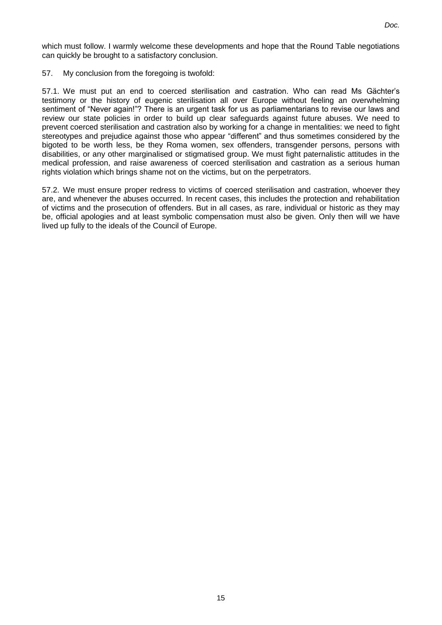which must follow. I warmly welcome these developments and hope that the Round Table negotiations can quickly be brought to a satisfactory conclusion.

### 57. My conclusion from the foregoing is twofold:

57.1. We must put an end to coerced sterilisation and castration. Who can read Ms Gächter's testimony or the history of eugenic sterilisation all over Europe without feeling an overwhelming sentiment of "Never again!"? There is an urgent task for us as parliamentarians to revise our laws and review our state policies in order to build up clear safeguards against future abuses. We need to prevent coerced sterilisation and castration also by working for a change in mentalities: we need to fight stereotypes and prejudice against those who appear "different" and thus sometimes considered by the bigoted to be worth less, be they Roma women, sex offenders, transgender persons, persons with disabilities, or any other marginalised or stigmatised group. We must fight paternalistic attitudes in the medical profession, and raise awareness of coerced sterilisation and castration as a serious human rights violation which brings shame not on the victims, but on the perpetrators.

57.2. We must ensure proper redress to victims of coerced sterilisation and castration, whoever they are, and whenever the abuses occurred. In recent cases, this includes the protection and rehabilitation of victims and the prosecution of offenders. But in all cases, as rare, individual or historic as they may be, official apologies and at least symbolic compensation must also be given. Only then will we have lived up fully to the ideals of the Council of Europe.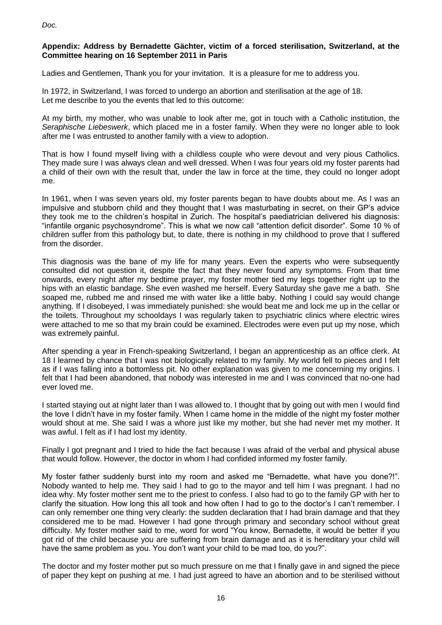#### **Appendix: Address by Bernadette Gächter, victim of a forced sterilisation, Switzerland, at the Committee hearing on 16 September 2011 in Paris**

Ladies and Gentlemen, Thank you for your invitation. It is a pleasure for me to address you.

In 1972, in Switzerland, I was forced to undergo an abortion and sterilisation at the age of 18. Let me describe to you the events that led to this outcome:

At my birth, my mother, who was unable to look after me, got in touch with a Catholic institution, the *Seraphische Liebeswerk*, which placed me in a foster family. When they were no longer able to look after me I was entrusted to another family with a view to adoption.

That is how I found myself living with a childless couple who were devout and very pious Catholics. They made sure I was always clean and well dressed. When I was four years old my foster parents had a child of their own with the result that, under the law in force at the time, they could no longer adopt me.

In 1961, when I was seven years old, my foster parents began to have doubts about me. As I was an impulsive and stubborn child and they thought that I was masturbating in secret, on their GP's advice they took me to the children's hospital in Zurich. The hospital's paediatrician delivered his diagnosis: "infantile organic psychosyndrome". This is what we now call "attention deficit disorder". Some 10 % of children suffer from this pathology but, to date, there is nothing in my childhood to prove that I suffered from the disorder.

This diagnosis was the bane of my life for many years. Even the experts who were subsequently consulted did not question it, despite the fact that they never found any symptoms. From that time onwards, every night after my bedtime prayer, my foster mother tied my legs together right up to the hips with an elastic bandage. She even washed me herself. Every Saturday she gave me a bath. She soaped me, rubbed me and rinsed me with water like a little baby. Nothing I could say would change anything. If I disobeyed, I was immediately punished: she would beat me and lock me up in the cellar or the toilets. Throughout my schooldays I was regularly taken to psychiatric clinics where electric wires were attached to me so that my brain could be examined. Electrodes were even put up my nose, which was extremely painful.

After spending a year in French-speaking Switzerland, I began an apprenticeship as an office clerk. At 18 I learned by chance that I was not biologically related to my family. My world fell to pieces and I felt as if I was falling into a bottomless pit. No other explanation was given to me concerning my origins. I felt that I had been abandoned, that nobody was interested in me and I was convinced that no-one had ever loved me.

I started staying out at night later than I was allowed to. I thought that by going out with men I would find the love I didn't have in my foster family. When I came home in the middle of the night my foster mother would shout at me. She said I was a whore just like my mother, but she had never met my mother. It was awful. I felt as if I had lost my identity.

Finally I got pregnant and I tried to hide the fact because I was afraid of the verbal and physical abuse that would follow. However, the doctor in whom I had confided informed my foster family.

My foster father suddenly burst into my room and asked me "Bernadette, what have you done?!". Nobody wanted to help me. They said I had to go to the mayor and tell him I was pregnant. I had no idea why. My foster mother sent me to the priest to confess. I also had to go to the family GP with her to clarify the situation. How long this all took and how often I had to go to the doctor's I can't remember. I can only remember one thing very clearly: the sudden declaration that I had brain damage and that they considered me to be mad. However I had gone through primary and secondary school without great difficulty. My foster mother said to me, word for word "You know, Bernadette, it would be better if you got rid of the child because you are suffering from brain damage and as it is hereditary your child will have the same problem as you. You don't want your child to be mad too, do you?".

The doctor and my foster mother put so much pressure on me that I finally gave in and signed the piece of paper they kept on pushing at me. I had just agreed to have an abortion and to be sterilised without